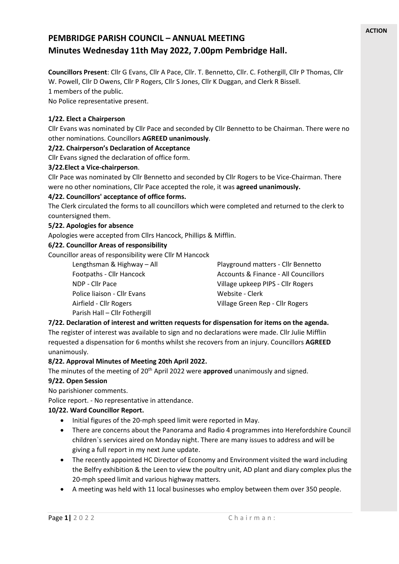# **PEMBRIDGE PARISH COUNCIL – ANNUAL MEETING Minutes Wednesday 11th May 2022, 7.00pm Pembridge Hall.**

**Councillors Present**: Cllr G Evans, Cllr A Pace, Cllr. T. Bennetto, Cllr. C. Fothergill, Cllr P Thomas, Cllr W. Powell, Cllr D Owens, Cllr P Rogers, Cllr S Jones, Cllr K Duggan, and Clerk R Bissell. 1 members of the public.

No Police representative present.

# **1/22. Elect a Chairperson**

Cllr Evans was nominated by Cllr Pace and seconded by Cllr Bennetto to be Chairman. There were no other nominations. Councillors **AGREED unanimously**.

# **2/22. Chairperson's Declaration of Acceptance**

Cllr Evans signed the declaration of office form.

#### **3/22.Elect a Vice-chairperson**.

Cllr Pace was nominated by Cllr Bennetto and seconded by Cllr Rogers to be Vice-Chairman. There

were no other nominations, Cllr Pace accepted the role, it was **agreed unanimously.**

# **4/22. Councillors' acceptance of office forms.**

The Clerk circulated the forms to all councillors which were completed and returned to the clerk to countersigned them.

#### **5/22. Apologies for absence**

Apologies were accepted from Cllrs Hancock, Phillips & Mifflin.

#### **6/22. Councillor Areas of responsibility**

Councillor areas of responsibility were Cllr M Hancock

Police liaison - Cllr Evans Website - Clerk Parish Hall – Cllr Fothergill

Lengthsman & Highway – All Playground matters - Cllr Bennetto Footpaths - Cllr Hancock **Accounts & Finance - All Councillors** Accounts & Finance - All Councillors NDP - Cllr Pace Village upkeep PIPS - Cllr Rogers Airfield - Cllr Rogers Village Green Rep - Cllr Rogers

# **7/22. Declaration of interest and written requests for dispensation for items on the agenda.**

The register of interest was available to sign and no declarations were made. Cllr Julie Mifflin requested a dispensation for 6 months whilst she recovers from an injury. Councillors **AGREED** unanimously.

#### **8/22. Approval Minutes of Meeting 20th April 2022.**

# The minutes of the meeting of 20<sup>th</sup> April 2022 were **approved** unanimously and signed.

# **9/22. Open Session**

No parishioner comments.

Police report. - No representative in attendance.

# **10/22. Ward Councillor Report.**

- Initial figures of the 20-mph speed limit were reported in May.
- There are concerns about the Panorama and Radio 4 programmes into Herefordshire Council children`s services aired on Monday night. There are many issues to address and will be giving a full report in my next June update.
- The recently appointed HC Director of Economy and Environment visited the ward including the Belfry exhibition & the Leen to view the poultry unit, AD plant and diary complex plus the 20-mph speed limit and various highway matters.
- A meeting was held with 11 local businesses who employ between them over 350 people.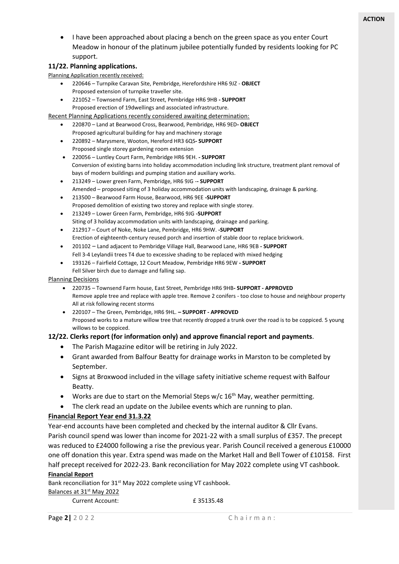• I have been approached about placing a bench on the green space as you enter Court Meadow in honour of the platinum jubilee potentially funded by residents looking for PC support.

# **11/22. Planning applications.**

Planning Application recently received:

- 220646 Turnpike Caravan Site, Pembridge, Herefordshire HR6 9JZ **OBJECT** Proposed extension of turnpike traveller site.
- 221052 Townsend Farm, East Street, Pembridge HR6 9HB **- SUPPORT** Proposed erection of 19dwellings and associated infrastructure.

Recent Planning Applications recently considered awaiting determination:

- 220870 Land at Bearwood Cross, Bearwood, Pembridge, HR6 9ED**- OBJECT** Proposed agricultural building for hay and machinery storage
- 220892 Marysmere, Wooton, Hereford HR3 6QS**- SUPPORT** Proposed single storey gardening room extension
- 220056 Luntley Court Farm, Pembridge HR6 9EH. **- SUPPORT** Conversion of existing barns into holiday accommodation including link structure, treatment plant removal of bays of modern buildings and pumping station and auxiliary works.
- 213249 Lower green Farm, Pembridge, HR6 9JG -**- SUPPORT** Amended – proposed siting of 3 holiday accommodation units with landscaping, drainage & parking.
- 213500 Bearwood Farm House, Bearwood, HR6 9EE **-SUPPORT** Proposed demolition of existing two storey and replace with single storey.
- 213249 Lower Green Farm, Pembridge, HR6 9JG **-SUPPORT** Siting of 3 holiday accommodation units with landscaping, drainage and parking.
- 212917 Court of Noke, Noke Lane, Pembridge, HR6 9HW. **-SUPPORT** Erection of eighteenth-century reused porch and insertion of stable door to replace brickwork.
- 201102 Land adjacent to Pembridge Village Hall, Bearwood Lane, HR6 9EB **- SUPPORT** Fell 3-4 Leylandii trees T4 due to excessive shading to be replaced with mixed hedging
- 193126 Fairfield Cottage, 12 Court Meadow, Pembridge HR6 9EW **- SUPPORT** Fell Silver birch due to damage and falling sap.

#### Planning Decisions

- 220735 Townsend Farm house, East Street, Pembridge HR6 9HB**- SUPPORT - APPROVED** Remove apple tree and replace with apple tree. Remove 2 conifers - too close to house and neighbour property All at risk following recent storms
- 220107 The Green, Pembridge, HR6 9HL. **– SUPPORT - APPROVED** Proposed works to a mature willow tree that recently dropped a trunk over the road is to be coppiced. 5 young willows to be coppiced.

# **12/22. Clerks report (for information only) and approve financial report and payments**.

- The Parish Magazine editor will be retiring in July 2022.
- Grant awarded from Balfour Beatty for drainage works in Marston to be completed by September.
- Signs at Broxwood included in the village safety initiative scheme request with Balfour Beatty.
- Works are due to start on the Memorial Steps  $w/c$  16<sup>th</sup> May, weather permitting.
- The clerk read an update on the Jubilee events which are running to plan.

# **Financial Report Year end 31.3.22**

Year-end accounts have been completed and checked by the internal auditor & Cllr Evans. Parish council spend was lower than income for 2021-22 with a small surplus of £357. The precept was reduced to £24000 following a rise the previous year. Parish Council received a generous £10000 one off donation this year. Extra spend was made on the Market Hall and Bell Tower of £10158. First half precept received for 2022-23. Bank reconciliation for May 2022 complete using VT cashbook.

#### **Financial Report**

Bank reconciliation for 31<sup>st</sup> May 2022 complete using VT cashbook.

#### Balances at 31<sup>st</sup> May 2022

Current Account: £ 35135.48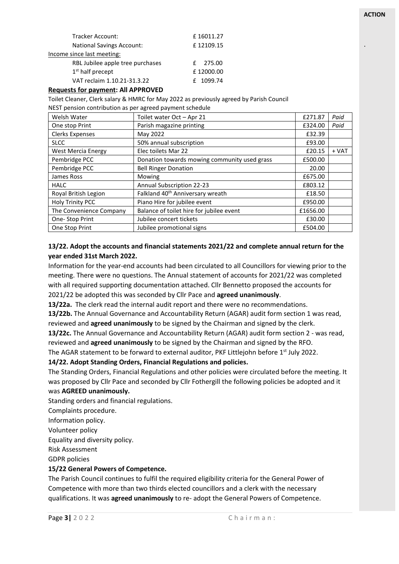| £16011.27 |
|-----------|
| £12109.15 |
|           |
| £ 275.00  |
| £12000.00 |
| f 1099.74 |
|           |

#### **Requests for payment: All APPROVED**

Toilet Cleaner, Clerk salary & HMRC for May 2022 as previously agreed by Parish Council NEST pension contribution as per agreed payment schedule

| Welsh Water               | Toilet water Oct - Apr 21                    | £271.87  | Paid  |
|---------------------------|----------------------------------------------|----------|-------|
| One stop Print            | Parish magazine printing                     | £324.00  | Paid  |
| <b>Clerks Expenses</b>    | May 2022                                     | £32.39   |       |
| <b>SLCC</b>               | 50% annual subscription                      | £93.00   |       |
| <b>West Mercia Energy</b> | Elec toilets Mar 22                          | £20.15   | + VAT |
| Pembridge PCC             | Donation towards mowing community used grass | £500.00  |       |
| Pembridge PCC             | <b>Bell Ringer Donation</b>                  | 20.00    |       |
| James Ross                | Mowing                                       | £675.00  |       |
| <b>HALC</b>               | Annual Subscription 22-23                    | £803.12  |       |
| Royal British Legion      | Falkland 40 <sup>th</sup> Anniversary wreath | £18.50   |       |
| <b>Holy Trinity PCC</b>   | Piano Hire for jubilee event                 | £950.00  |       |
| The Convenience Company   | Balance of toilet hire for jubilee event     | £1656.00 |       |
| One-Stop Print            | Jubilee concert tickets                      | £30.00   |       |
| One Stop Print            | Jubilee promotional signs                    | £504.00  |       |

# **13/22. Adopt the accounts and financial statements 2021/22 and complete annual return for the year ended 31st March 2022.**

Information for the year-end accounts had been circulated to all Councillors for viewing prior to the meeting. There were no questions. The Annual statement of accounts for 2021/22 was completed with all required supporting documentation attached. Cllr Bennetto proposed the accounts for 2021/22 be adopted this was seconded by Cllr Pace and **agreed unanimously**.

**13/22a.** The clerk read the internal audit report and there were no recommendations.

**13/22b.** The Annual Governance and Accountability Return (AGAR) audit form section 1 was read, reviewed and **agreed unanimously** to be signed by the Chairman and signed by the clerk.

**13/22c.** The Annual Governance and Accountability Return (AGAR) audit form section 2 - was read, reviewed and **agreed unanimously** to be signed by the Chairman and signed by the RFO.

The AGAR statement to be forward to external auditor, PKF Littlejohn before 1<sup>st</sup> July 2022.

#### **14/22. Adopt Standing Orders, Financial Regulations and policies.**

The Standing Orders, Financial Regulations and other policies were circulated before the meeting. It was proposed by Cllr Pace and seconded by Cllr Fothergill the following policies be adopted and it was **AGREED unanimously.**

Standing orders and financial regulations.

Complaints procedure.

Information policy.

Volunteer policy

Equality and diversity policy.

Risk Assessment

GDPR policies

# **15/22 General Powers of Competence.**

The Parish Council continues to fulfil the required eligibility criteria for the General Power of Competence with more than two thirds elected councillors and a clerk with the necessary qualifications. It was **agreed unanimously** to re- adopt the General Powers of Competence.

.